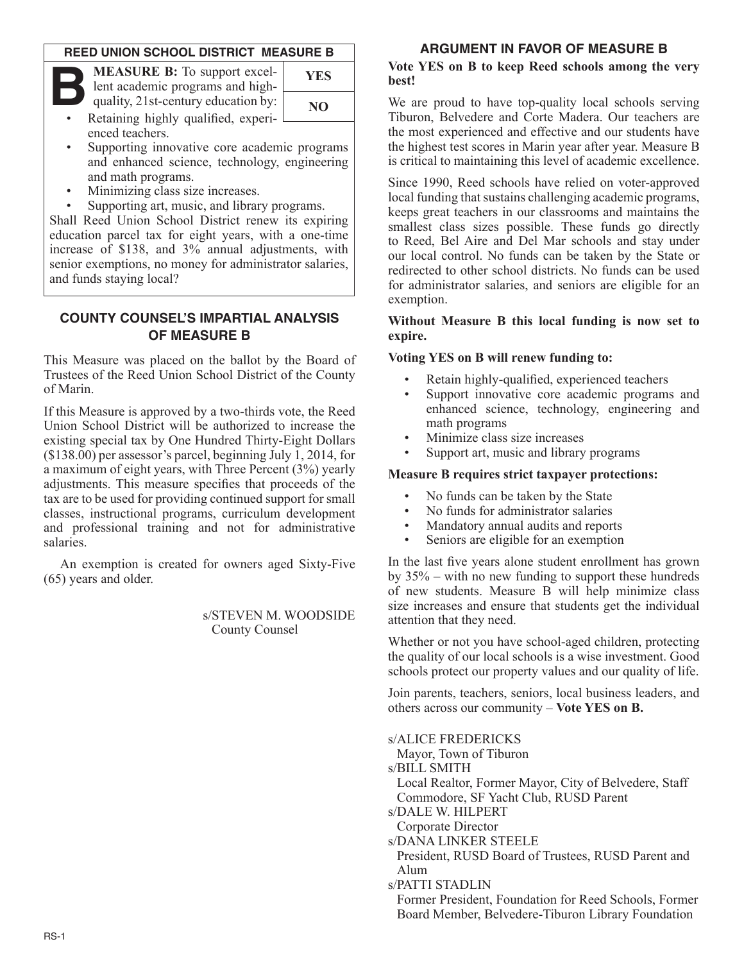#### **REED UNION SCHOOL DISTRICT MEASURE B**

| <b>MEASURE B:</b> To support excel-<br>lent academic programs and high- | YES |
|-------------------------------------------------------------------------|-----|
| quality, 21st-century education by:                                     | NO. |

| YES |
|-----|
| NO. |
|     |

- Retaining highly qualified, experi- $\Box$ enced teachers.
- Supporting innovative core academic programs and enhanced science, technology, engineering and math programs.
- Minimizing class size increases.
- Supporting art, music, and library programs.

Shall Reed Union School District renew its expiring education parcel tax for eight years, with a one-time increase of \$138, and 3% annual adjustments, with senior exemptions, no money for administrator salaries, and funds staying local?

## **County COUNSEL'S IMPARTIAL ANALYSIS of MEASURE B**

This Measure was placed on the ballot by the Board of Trustees of the Reed Union School District of the County of Marin.

If this Measure is approved by a two-thirds vote, the Reed Union School District will be authorized to increase the existing special tax by One Hundred Thirty-Eight Dollars (\$138.00) per assessor's parcel, beginning July 1, 2014, for a maximum of eight years, with Three Percent (3%) yearly adjustments. This measure specifies that proceeds of the tax are to be used for providing continued support for small classes, instructional programs, curriculum development and professional training and not for administrative salaries.

An exemption is created for owners aged Sixty-Five (65) years and older.

> s/STEVEN M. WOODSIDE County Counsel

### **argument in favor of measure B**

#### **Vote YES on B to keep Reed schools among the very best!**

We are proud to have top-quality local schools serving Tiburon, Belvedere and Corte Madera. Our teachers are the most experienced and effective and our students have the highest test scores in Marin year after year. Measure B is critical to maintaining this level of academic excellence.

Since 1990, Reed schools have relied on voter-approved local funding that sustains challenging academic programs, keeps great teachers in our classrooms and maintains the smallest class sizes possible. These funds go directly to Reed, Bel Aire and Del Mar schools and stay under our local control. No funds can be taken by the State or redirected to other school districts. No funds can be used for administrator salaries, and seniors are eligible for an exemption.

#### **Without Measure B this local funding is now set to expire.**

## **Voting YES on B will renew funding to:**

- Retain highly-qualified, experienced teachers
- Support innovative core academic programs and enhanced science, technology, engineering and math programs
- Minimize class size increases
- Support art, music and library programs

#### **Measure B requires strict taxpayer protections:**

- No funds can be taken by the State
- No funds for administrator salaries
- Mandatory annual audits and reports
- Seniors are eligible for an exemption

In the last five years alone student enrollment has grown by 35% – with no new funding to support these hundreds of new students. Measure B will help minimize class size increases and ensure that students get the individual attention that they need.

Whether or not you have school-aged children, protecting the quality of our local schools is a wise investment. Good schools protect our property values and our quality of life.

Join parents, teachers, seniors, local business leaders, and others across our community – **Vote YES on B.**

s/Alice Fredericks

Mayor, Town of Tiburon

s/**BILL SMITH** 

Local Realtor, Former Mayor, City of Belvedere, Staff Commodore, SF Yacht Club, RUSD Parent

- s/Dale w. Hilpert
- Corporate Director

s/Dana Linker Steele

- President, RUSD Board of Trustees, RUSD Parent and Alum
- s/Patti StaDlin

Former President, Foundation for Reed Schools, Former Board Member, Belvedere-Tiburon Library Foundation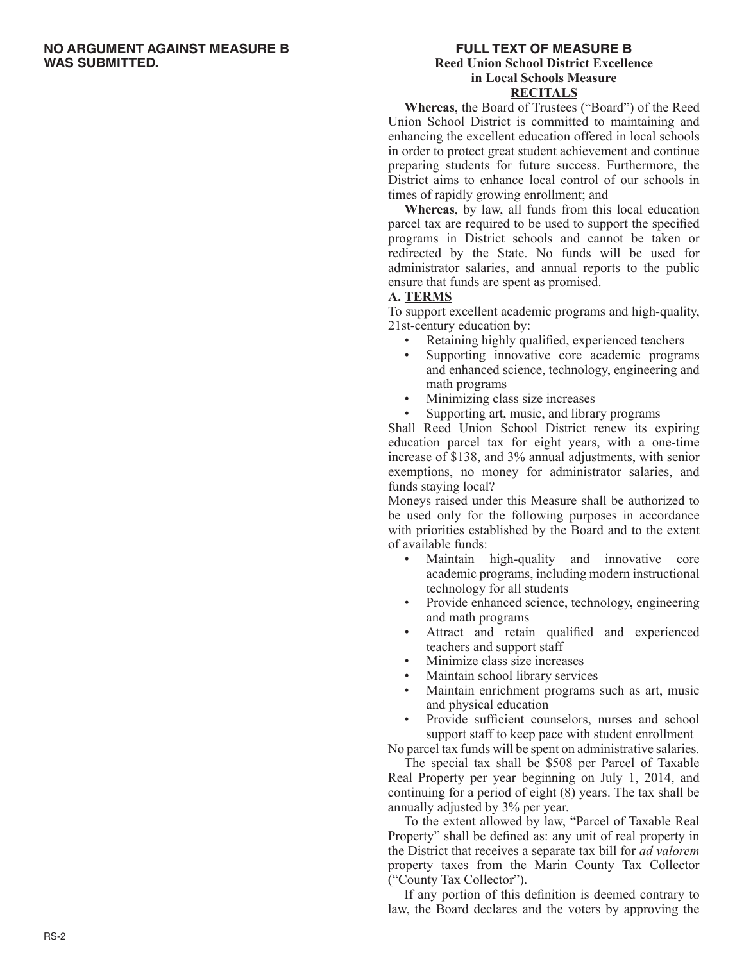#### **no Argument against measure B was submitted.**

#### **FULL TEXT OF MEASURE B Reed Union School District Excellence in Local Schools Measure RECITALS**

**Whereas**, the Board of Trustees ("Board") of the Reed Union School District is committed to maintaining and enhancing the excellent education offered in local schools in order to protect great student achievement and continue preparing students for future success. Furthermore, the District aims to enhance local control of our schools in times of rapidly growing enrollment; and

**Whereas**, by law, all funds from this local education parcel tax are required to be used to support the specified programs in District schools and cannot be taken or redirected by the State. No funds will be used for administrator salaries, and annual reports to the public ensure that funds are spent as promised.

#### **A. TERMS**

To support excellent academic programs and high-quality, 21st-century education by:

- Retaining highly qualified, experienced teachers
- Supporting innovative core academic programs and enhanced science, technology, engineering and math programs
- Minimizing class size increases
- Supporting art, music, and library programs

Shall Reed Union School District renew its expiring education parcel tax for eight years, with a one-time increase of \$138, and 3% annual adjustments, with senior exemptions, no money for administrator salaries, and funds staying local?

Moneys raised under this Measure shall be authorized to be used only for the following purposes in accordance with priorities established by the Board and to the extent of available funds:

- Maintain high-quality and innovative core academic programs, including modern instructional technology for all students
- Provide enhanced science, technology, engineering and math programs
- Attract and retain qualified and experienced teachers and support staff
- Minimize class size increases
- Maintain school library services
- Maintain enrichment programs such as art, music and physical education
- Provide sufficient counselors, nurses and school support staff to keep pace with student enrollment

No parcel tax funds will be spent on administrative salaries. The special tax shall be \$508 per Parcel of Taxable

Real Property per year beginning on July 1, 2014, and continuing for a period of eight (8) years. The tax shall be annually adjusted by 3% per year.

To the extent allowed by law, "Parcel of Taxable Real Property" shall be defined as: any unit of real property in the District that receives a separate tax bill for *ad valorem*  property taxes from the Marin County Tax Collector ("County Tax Collector").

If any portion of this definition is deemed contrary to law, the Board declares and the voters by approving the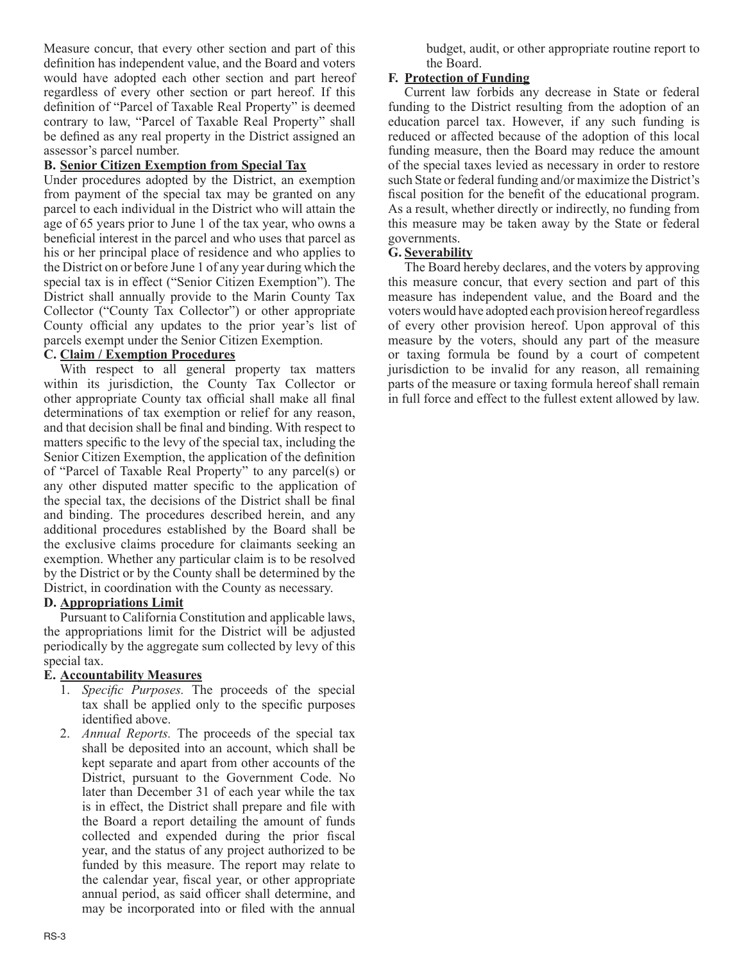Measure concur, that every other section and part of this definition has independent value, and the Board and voters would have adopted each other section and part hereof regardless of every other section or part hereof. If this definition of "Parcel of Taxable Real Property" is deemed contrary to law, "Parcel of Taxable Real Property" shall be defined as any real property in the District assigned an assessor's parcel number.

## **B. Senior Citizen Exemption from Special Tax**

Under procedures adopted by the District, an exemption from payment of the special tax may be granted on any parcel to each individual in the District who will attain the age of 65 years prior to June 1 of the tax year, who owns a beneficial interest in the parcel and who uses that parcel as his or her principal place of residence and who applies to the District on or before June 1 of any year during which the special tax is in effect ("Senior Citizen Exemption"). The District shall annually provide to the Marin County Tax Collector ("County Tax Collector") or other appropriate County official any updates to the prior year's list of parcels exempt under the Senior Citizen Exemption.

# **C. Claim / Exemption Procedures**

With respect to all general property tax matters within its jurisdiction, the County Tax Collector or other appropriate County tax official shall make all final determinations of tax exemption or relief for any reason, and that decision shall be final and binding. With respect to matters specific to the levy of the special tax, including the Senior Citizen Exemption, the application of the definition of "Parcel of Taxable Real Property" to any parcel(s) or any other disputed matter specific to the application of the special tax, the decisions of the District shall be final and binding. The procedures described herein, and any additional procedures established by the Board shall be the exclusive claims procedure for claimants seeking an exemption. Whether any particular claim is to be resolved by the District or by the County shall be determined by the District, in coordination with the County as necessary.

# **D. Appropriations Limit**

Pursuant to California Constitution and applicable laws, the appropriations limit for the District will be adjusted periodically by the aggregate sum collected by levy of this special tax.

### **E. Accountability Measures**

- 1. *Specific Purposes.* The proceeds of the special tax shall be applied only to the specific purposes identified above.
- 2. *Annual Reports.* The proceeds of the special tax shall be deposited into an account, which shall be kept separate and apart from other accounts of the District, pursuant to the Government Code. No later than December 31 of each year while the tax is in effect, the District shall prepare and file with the Board a report detailing the amount of funds collected and expended during the prior fiscal year, and the status of any project authorized to be funded by this measure. The report may relate to the calendar year, fiscal year, or other appropriate annual period, as said officer shall determine, and may be incorporated into or filed with the annual

budget, audit, or other appropriate routine report to the Board.

## **F. Protection of Funding**

Current law forbids any decrease in State or federal funding to the District resulting from the adoption of an education parcel tax. However, if any such funding is reduced or affected because of the adoption of this local funding measure, then the Board may reduce the amount of the special taxes levied as necessary in order to restore such State or federal funding and/or maximize the District's fiscal position for the benefit of the educational program. As a result, whether directly or indirectly, no funding from this measure may be taken away by the State or federal governments.

## **G. Severability**

The Board hereby declares, and the voters by approving this measure concur, that every section and part of this measure has independent value, and the Board and the voters would have adopted each provision hereof regardless of every other provision hereof. Upon approval of this measure by the voters, should any part of the measure or taxing formula be found by a court of competent jurisdiction to be invalid for any reason, all remaining parts of the measure or taxing formula hereof shall remain in full force and effect to the fullest extent allowed by law.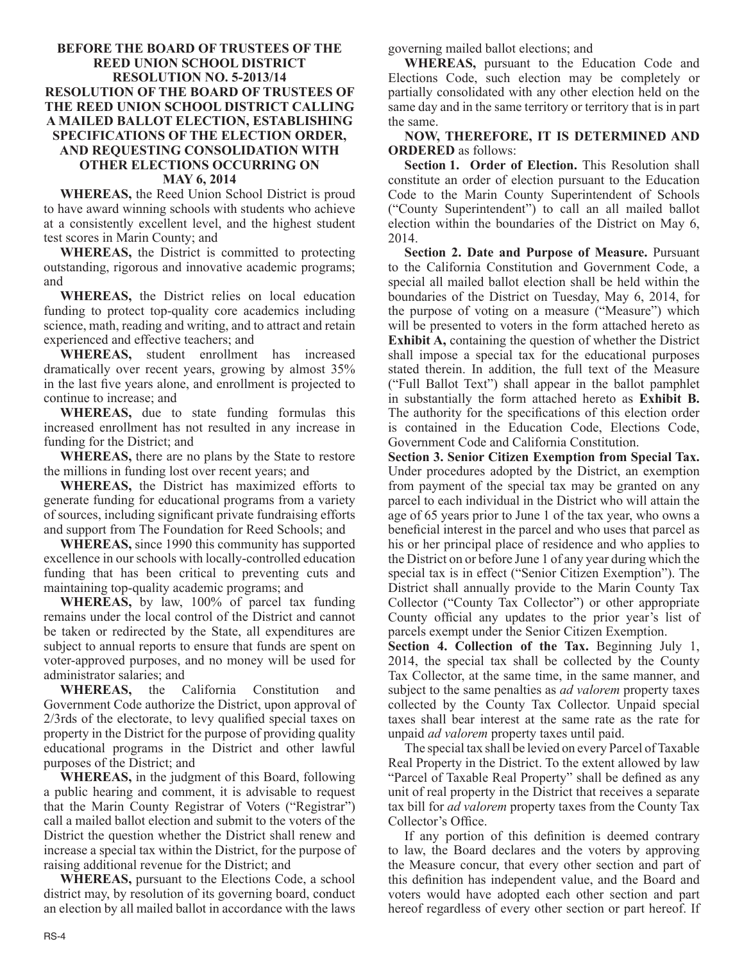#### **BEFORE THE BOARD OF TRUSTEES OF THE REED UNION SCHOOL DISTRICT RESOLUTION NO. 5-2013/14 RESOLUTION OF THE BOARD OF TRUSTEES OF THE REED UNION SCHOOL DISTRICT CALLING A MAILED BALLOT ELECTION, ESTABLISHING SPECIFICATIONS OF THE ELECTION ORDER, AND REQUESTING CONSOLIDATION WITH OTHER ELECTIONS OCCURRING ON MAY 6, 2014**

**WHEREAS,** the Reed Union School District is proud to have award winning schools with students who achieve at a consistently excellent level, and the highest student test scores in Marin County; and

**WHEREAS,** the District is committed to protecting outstanding, rigorous and innovative academic programs; and

**WHEREAS,** the District relies on local education funding to protect top-quality core academics including science, math, reading and writing, and to attract and retain experienced and effective teachers; and

**WHEREAS,** student enrollment has increased dramatically over recent years, growing by almost 35% in the last five years alone, and enrollment is projected to continue to increase; and

**WHEREAS,** due to state funding formulas this increased enrollment has not resulted in any increase in funding for the District; and

**WHEREAS,** there are no plans by the State to restore the millions in funding lost over recent years; and

**WHEREAS,** the District has maximized efforts to generate funding for educational programs from a variety of sources, including significant private fundraising efforts and support from The Foundation for Reed Schools; and

**WHEREAS,** since 1990 this community has supported excellence in our schools with locally-controlled education funding that has been critical to preventing cuts and maintaining top-quality academic programs; and

**WHEREAS,** by law, 100% of parcel tax funding remains under the local control of the District and cannot be taken or redirected by the State, all expenditures are subject to annual reports to ensure that funds are spent on voter-approved purposes, and no money will be used for administrator salaries; and

**WHEREAS,** the California Constitution Government Code authorize the District, upon approval of 2/3rds of the electorate, to levy qualified special taxes on property in the District for the purpose of providing quality educational programs in the District and other lawful purposes of the District; and

**WHEREAS,** in the judgment of this Board, following a public hearing and comment, it is advisable to request that the Marin County Registrar of Voters ("Registrar") call a mailed ballot election and submit to the voters of the District the question whether the District shall renew and increase a special tax within the District, for the purpose of raising additional revenue for the District; and

**WHEREAS,** pursuant to the Elections Code, a school district may, by resolution of its governing board, conduct an election by all mailed ballot in accordance with the laws governing mailed ballot elections; and

**WHEREAS,** pursuant to the Education Code and Elections Code, such election may be completely or partially consolidated with any other election held on the same day and in the same territory or territory that is in part the same.

**NOW, THEREFORE, IT IS DETERMINED AND ORDERED** as follows:

**Section 1. Order of Election.** This Resolution shall constitute an order of election pursuant to the Education Code to the Marin County Superintendent of Schools ("County Superintendent") to call an all mailed ballot election within the boundaries of the District on May 6, 2014.

**Section 2. Date and Purpose of Measure.** Pursuant to the California Constitution and Government Code, a special all mailed ballot election shall be held within the boundaries of the District on Tuesday, May 6, 2014, for the purpose of voting on a measure ("Measure") which will be presented to voters in the form attached hereto as **Exhibit A,** containing the question of whether the District shall impose a special tax for the educational purposes stated therein. In addition, the full text of the Measure ("Full Ballot Text") shall appear in the ballot pamphlet in substantially the form attached hereto as **Exhibit B.** The authority for the specifications of this election order is contained in the Education Code, Elections Code, Government Code and California Constitution.

**Section 3. Senior Citizen Exemption from Special Tax.**  Under procedures adopted by the District, an exemption from payment of the special tax may be granted on any parcel to each individual in the District who will attain the age of 65 years prior to June 1 of the tax year, who owns a beneficial interest in the parcel and who uses that parcel as his or her principal place of residence and who applies to the District on or before June 1 of any year during which the special tax is in effect ("Senior Citizen Exemption"). The District shall annually provide to the Marin County Tax Collector ("County Tax Collector") or other appropriate County official any updates to the prior year's list of parcels exempt under the Senior Citizen Exemption.

**Section 4. Collection of the Tax.** Beginning July 1, 2014, the special tax shall be collected by the County Tax Collector, at the same time, in the same manner, and subject to the same penalties as *ad valorem* property taxes collected by the County Tax Collector. Unpaid special taxes shall bear interest at the same rate as the rate for unpaid *ad valorem* property taxes until paid.

The special tax shall be levied on every Parcel of Taxable Real Property in the District. To the extent allowed by law "Parcel of Taxable Real Property" shall be defined as any unit of real property in the District that receives a separate tax bill for *ad valorem* property taxes from the County Tax Collector's Office.

If any portion of this definition is deemed contrary to law, the Board declares and the voters by approving the Measure concur, that every other section and part of this definition has independent value, and the Board and voters would have adopted each other section and part hereof regardless of every other section or part hereof. If